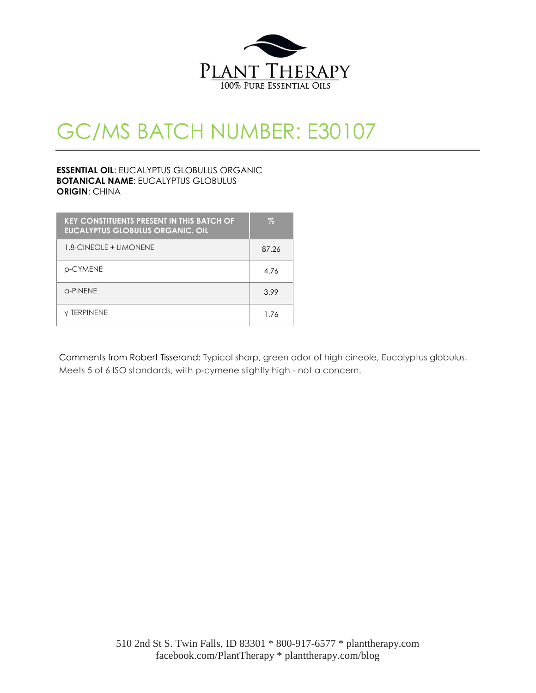

## GC/MS BATCH NUMBER: E30107

#### **ESSENTIAL OIL**: EUCALYPTUS GLOBULUS ORGANIC **BOTANICAL NAME**: EUCALYPTUS GLOBULUS **ORIGIN**: CHINA

| <b>KEY CONSTITUENTS PRESENT IN THIS BATCH OF</b><br><b>EUCALYPTUS GLOBULUS ORGANIC. OIL</b> | Z     |
|---------------------------------------------------------------------------------------------|-------|
| 1.8-CINEOLE + LIMONENE                                                                      | 87.26 |
| p-CYMENE                                                                                    | 4.76  |
| $\alpha$ -PINENE                                                                            | 3.99  |
| <b>Y-TERPINENE</b>                                                                          | 1.76  |

Comments from Robert Tisserand: Typical sharp, green odor of high cineole, Eucalyptus globulus. Meets 5 of 6 ISO standards, with p-cymene slightly high - not a concern.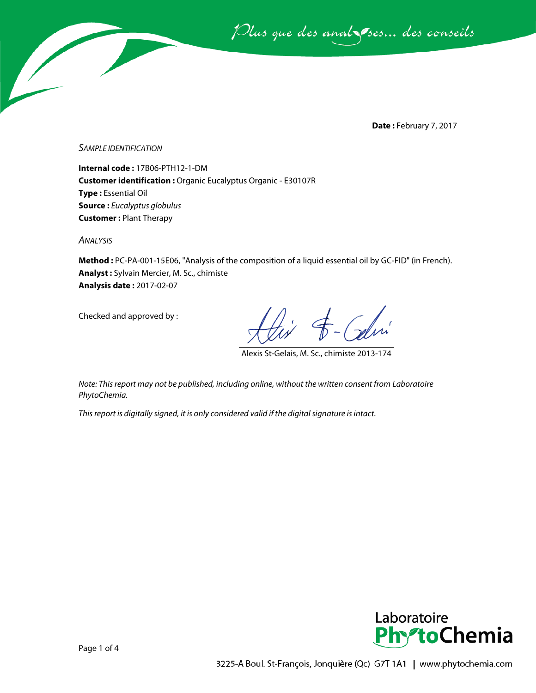Plus que des analsses... des conseils

**Date :** February 7, 2017

*SAMPLE IDENTIFICATION*

**Internal code :** 17B06-PTH12-1-DM **Customer identification :** Organic Eucalyptus Organic - E30107R **Type :** Essential Oil **Source :** *Eucalyptus globulus* **Customer :** Plant Therapy

*ANALYSIS*

**Method :** PC-PA-001-15E06, "Analysis of the composition of a liquid essential oil by GC-FID" (in French). **Analyst :** Sylvain Mercier, M. Sc., chimiste **Analysis date :** 2017-02-07

Checked and approved by :

Galin

Alexis St-Gelais, M. Sc., chimiste 2013-174

*Note: This report may not be published, including online, without the written consent from Laboratoire PhytoChemia.*

*This report is digitally signed, it is only considered valid if the digital signature is intact.*

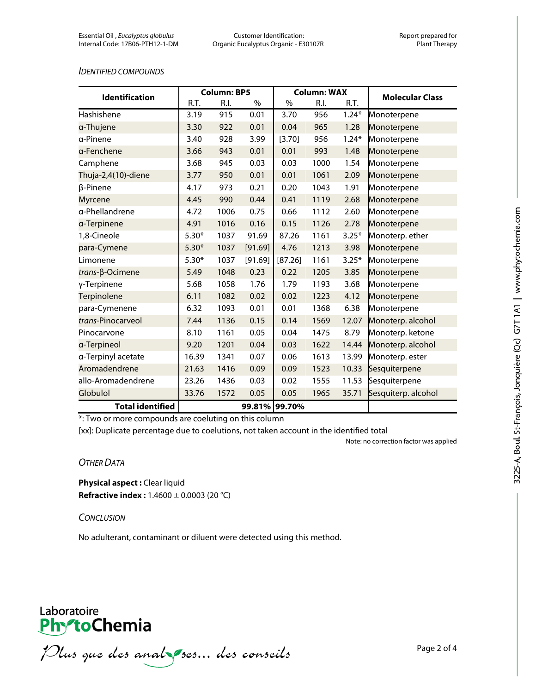#### *IDENTIFIED COMPOUNDS*

| <b>Identification</b>   | <b>Column: BP5</b> |      |         | <b>Column: WAX</b> |      |         |                        |
|-------------------------|--------------------|------|---------|--------------------|------|---------|------------------------|
|                         | R.T.               | R.I. | $\%$    | $\%$               | R.I. | R.T.    | <b>Molecular Class</b> |
| Hashishene              | 3.19               | 915  | 0.01    | 3.70               | 956  | $1.24*$ | Monoterpene            |
| a-Thujene               | 3.30               | 922  | 0.01    | 0.04               | 965  | 1.28    | Monoterpene            |
| a-Pinene                | 3.40               | 928  | 3.99    | [3.70]             | 956  | $1.24*$ | Monoterpene            |
| a-Fenchene              | 3.66               | 943  | 0.01    | 0.01               | 993  | 1.48    | Monoterpene            |
| Camphene                | 3.68               | 945  | 0.03    | 0.03               | 1000 | 1.54    | Monoterpene            |
| Thuja-2,4(10)-diene     | 3.77               | 950  | 0.01    | 0.01               | 1061 | 2.09    | Monoterpene            |
| β-Pinene                | 4.17               | 973  | 0.21    | 0.20               | 1043 | 1.91    | Monoterpene            |
| Myrcene                 | 4.45               | 990  | 0.44    | 0.41               | 1119 | 2.68    | Monoterpene            |
| a-Phellandrene          | 4.72               | 1006 | 0.75    | 0.66               | 1112 | 2.60    | Monoterpene            |
| a-Terpinene             | 4.91               | 1016 | 0.16    | 0.15               | 1126 | 2.78    | Monoterpene            |
| 1,8-Cineole             | $5.30*$            | 1037 | 91.69   | 87.26              | 1161 | $3.25*$ | Monoterp. ether        |
| para-Cymene             | $5.30*$            | 1037 | [91.69] | 4.76               | 1213 | 3.98    | Monoterpene            |
| Limonene                | $5.30*$            | 1037 | [91.69] | [87.26]            | 1161 | $3.25*$ | Monoterpene            |
| trans-β-Ocimene         | 5.49               | 1048 | 0.23    | 0.22               | 1205 | 3.85    | Monoterpene            |
| γ-Terpinene             | 5.68               | 1058 | 1.76    | 1.79               | 1193 | 3.68    | Monoterpene            |
| Terpinolene             | 6.11               | 1082 | 0.02    | 0.02               | 1223 | 4.12    | Monoterpene            |
| para-Cymenene           | 6.32               | 1093 | 0.01    | 0.01               | 1368 | 6.38    | Monoterpene            |
| trans-Pinocarveol       | 7.44               | 1136 | 0.15    | 0.14               | 1569 | 12.07   | Monoterp. alcohol      |
| Pinocarvone             | 8.10               | 1161 | 0.05    | 0.04               | 1475 | 8.79    | Monoterp. ketone       |
| a-Terpineol             | 9.20               | 1201 | 0.04    | 0.03               | 1622 | 14.44   | Monoterp. alcohol      |
| a-Terpinyl acetate      | 16.39              | 1341 | 0.07    | 0.06               | 1613 | 13.99   | Monoterp. ester        |
| Aromadendrene           | 21.63              | 1416 | 0.09    | 0.09               | 1523 | 10.33   | Sesquiterpene          |
| allo-Aromadendrene      | 23.26              | 1436 | 0.03    | 0.02               | 1555 | 11.53   | Sesquiterpene          |
| Globulol                | 33.76              | 1572 | 0.05    | 0.05               | 1965 | 35.71   | Sesquiterp. alcohol    |
| <b>Total identified</b> |                    |      |         | 99.81% 99.70%      |      |         |                        |

\*: Two or more compounds are coeluting on this column

[xx]: Duplicate percentage due to coelutions, not taken account in the identified total

Note: no correction factor was applied

#### *OTHER DATA*

**Physical aspect :** Clear liquid **Refractive index :** 1.4600 ± 0.0003 (20 °C)

#### *CONCLUSION*

No adulterant, contaminant or diluent were detected using this method.

### Laboratoire Phy<sup>-to</sup>Chemia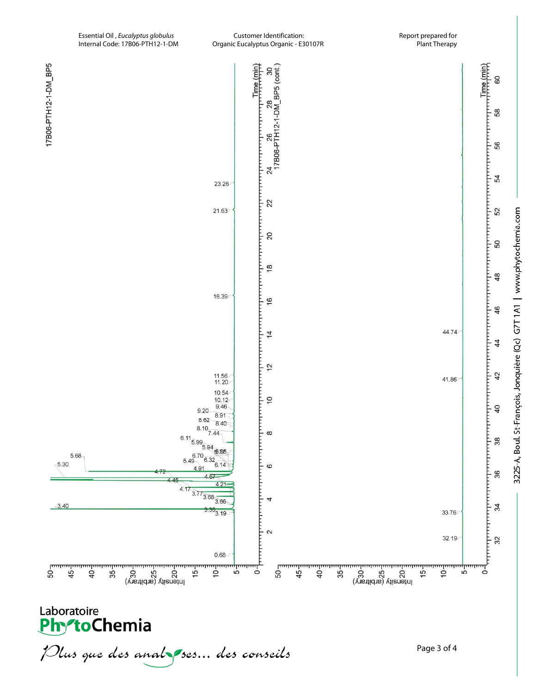17B06-PTH12-1-DM\_BP5



3225-A, Boul. St-François, Jonquière (Qc) G7T1A1 | www.phytochemia.com

a para harang mengentuk di kabupaten di kabupaten di kabupaten di kabupaten di kabupaten di kabupaten di kabup

60

58

ŧ 56

 $\frac{1}{2}$ 54

52

50

 $48$ 

46

 $\overline{4}$ 

42

 $40$ 

38

36

 $34$ 

32

ŧ

ᅟᇢᅟᇢᅟᇢ

Laboratoire<br>**Phy<sup>o</sup>toChemia** 

<u>ო — გ</u> — გ<br>სიიიისიისიისიისი

Plus que des analzes... des conseils

पा

(vistidis) visnetni<br>
S S S S

᠊ᢆᢆᢘ᠁ᡁᡂᡁᡂᡁᡂᡁᡂᡁ<br><mark>᠊</mark>ᠮᡂᡁᡂᡁᡂᡙᡂᡁᡂ

᠊ᡱ ᡱ ᠉<br>ᠳᠬᠬᠬᠬᡕ᠋ᡰᠠᠬ

بنبيتيا

Ś.

եր<br>ահատ

(vistidis) visnetni<br>
S S S S